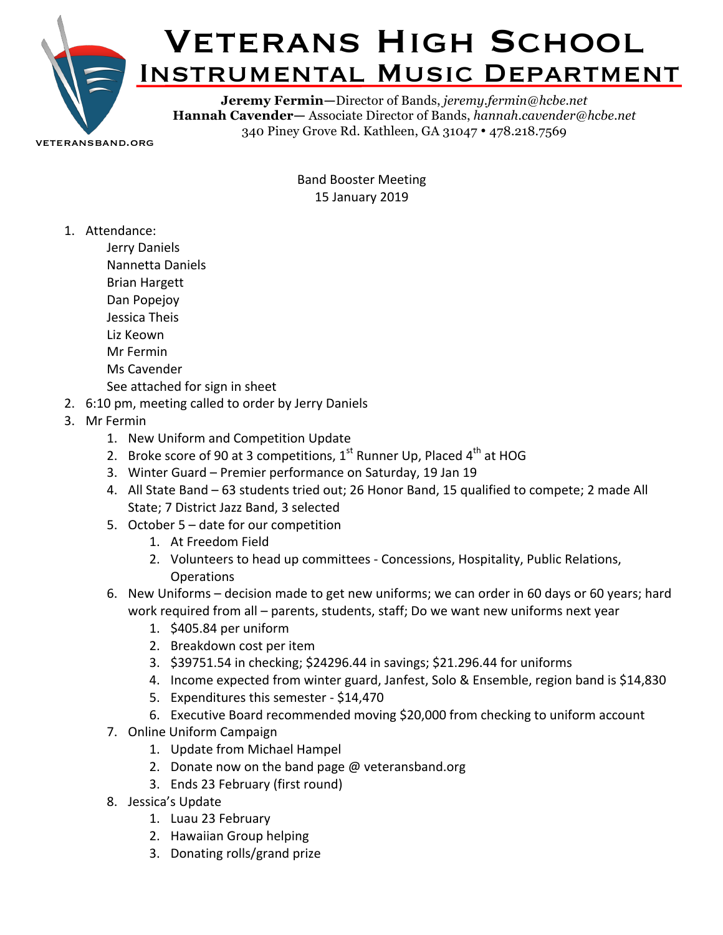

veteransband.org

Band Booster Meeting 15 January 2019

1. Attendance:

Jerry Daniels Nannetta Daniels Brian Hargett Dan Popejoy Jessica Theis Liz Keown Mr Fermin

- 
- Ms Cavender
- See attached for sign in sheet
- 2. 6:10 pm, meeting called to order by Jerry Daniels
- 3. Mr Fermin
	- 1. New Uniform and Competition Update
	- 2. Broke score of 90 at 3 competitions,  $1^{st}$  Runner Up, Placed  $4^{th}$  at HOG
	- 3. Winter Guard Premier performance on Saturday, 19 Jan 19
	- 4. All State Band 63 students tried out; 26 Honor Band, 15 qualified to compete; 2 made All State; 7 District Jazz Band, 3 selected
	- 5. October  $5 -$  date for our competition
		- 1. At Freedom Field
		- 2. Volunteers to head up committees Concessions, Hospitality, Public Relations, Operations
	- 6. New Uniforms decision made to get new uniforms; we can order in 60 days or 60 years; hard work required from all – parents, students, staff; Do we want new uniforms next year
		- 1. \$405.84 per uniform
		- 2. Breakdown cost per item
		- 3. \$39751.54 in checking; \$24296.44 in savings; \$21.296.44 for uniforms
		- 4. Income expected from winter guard, Janfest, Solo & Ensemble, region band is \$14,830
		- 5. Expenditures this semester \$14,470
		- 6. Executive Board recommended moving \$20,000 from checking to uniform account
	- 7. Online Uniform Campaign
		- 1. Update from Michael Hampel
		- 2. Donate now on the band page  $@$  veteransband.org
		- 3. Ends 23 February (first round)
	- 8. Jessica's Update
		- 1. Luau 23 February
		- 2. Hawaiian Group helping
		- 3. Donating rolls/grand prize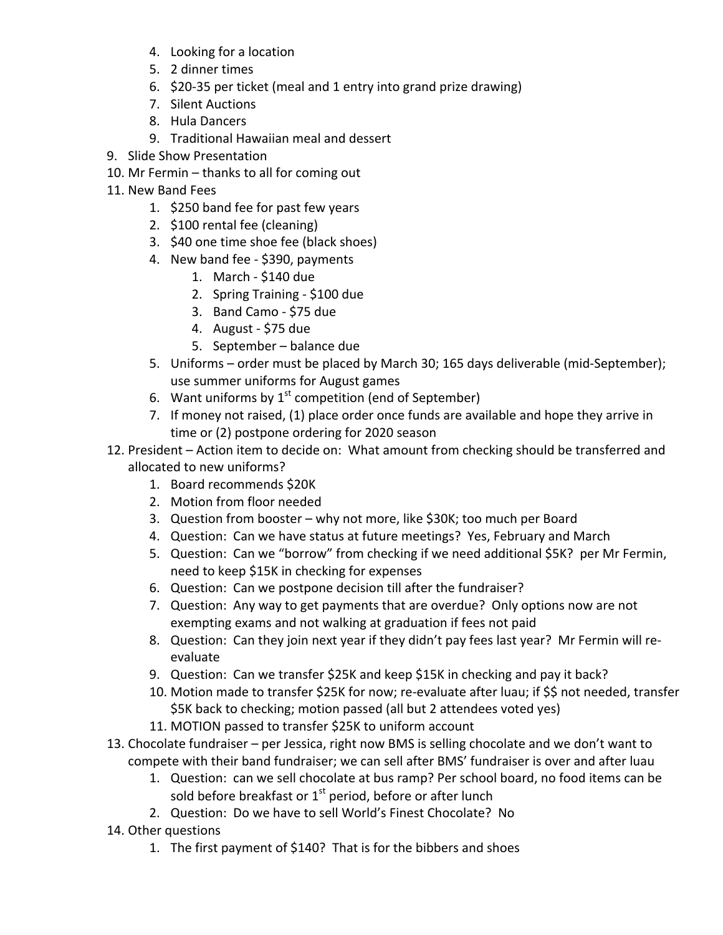- 4. Looking for a location
- 5. 2 dinner times
- 6. \$20-35 per ticket (meal and 1 entry into grand prize drawing)
- 7. Silent Auctions
- 8. Hula Dancers
- 9. Traditional Hawaiian meal and dessert
- 9. Slide Show Presentation
- 10. Mr Fermin thanks to all for coming out
- 11. New Band Fees
	- 1. \$250 band fee for past few years
	- 2. \$100 rental fee (cleaning)
	- 3. \$40 one time shoe fee (black shoes)
	- 4. New band fee \$390, payments
		- 1. March \$140 due
		- 2. Spring Training \$100 due
		- 3. Band Camo \$75 due
		- 4. August  $$75$  due
		- 5. September balance due
	- 5. Uniforms order must be placed by March 30; 165 days deliverable (mid-September); use summer uniforms for August games
	- 6. Want uniforms by  $1^{st}$  competition (end of September)
	- 7. If money not raised, (1) place order once funds are available and hope they arrive in time or (2) postpone ordering for 2020 season
- 12. President Action item to decide on: What amount from checking should be transferred and allocated to new uniforms?
	- 1. Board recommends \$20K
	- 2. Motion from floor needed
	- 3. Question from booster why not more, like \$30K; too much per Board
	- 4. Question: Can we have status at future meetings? Yes, February and March
	- 5. Question: Can we "borrow" from checking if we need additional \$5K? per Mr Fermin, need to keep \$15K in checking for expenses
	- 6. Question: Can we postpone decision till after the fundraiser?
	- 7. Question: Any way to get payments that are overdue? Only options now are not exempting exams and not walking at graduation if fees not paid
	- 8. Question: Can they join next year if they didn't pay fees last year? Mr Fermin will reevaluate
	- 9. Question: Can we transfer \$25K and keep \$15K in checking and pay it back?
	- 10. Motion made to transfer \$25K for now; re-evaluate after luau; if \$\$ not needed, transfer \$5K back to checking; motion passed (all but 2 attendees voted yes)
	- 11. MOTION passed to transfer \$25K to uniform account
- 13. Chocolate fundraiser per Jessica, right now BMS is selling chocolate and we don't want to compete with their band fundraiser; we can sell after BMS' fundraiser is over and after luau
	- 1. Question: can we sell chocolate at bus ramp? Per school board, no food items can be sold before breakfast or  $1<sup>st</sup>$  period, before or after lunch
	- 2. Question: Do we have to sell World's Finest Chocolate? No
- 14. Other questions
	- 1. The first payment of \$140? That is for the bibbers and shoes